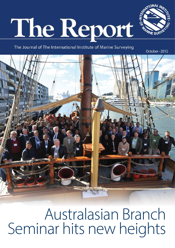# The Report



The Journal of The International Institute of Marine Surveying

October - 2012



Australasian Branch Seminar hits new heights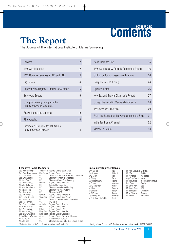## **Content Content Content 2012**

The Journal of The International Institute of Marine Surveying

| Forward                                                                 | 2  |
|-------------------------------------------------------------------------|----|
| <b>IIMS Administration</b>                                              | 2  |
| IIMS Diploma becomes a HNC and HND                                      | 4  |
| Rig Basics                                                              | 4  |
| Report by the Regional Director for Australia                           | 5  |
| <b>Surveyors Beware</b>                                                 | 6  |
| Using Technology to Improve the<br><b>Quality of Service to Clients</b> | 7  |
| Seawork does the business                                               | 9  |
| Photographs                                                             | 10 |
| President's Hail from the Tall Ship's<br>Belly at Sydney Harbour        | 14 |

| News From the SSA                                | 15 |
|--------------------------------------------------|----|
| IIMS Australasia & Oceania Conference Report     | 16 |
| Call for uniform surveyor qualifications         | 20 |
| Every Crack Tells A Story                        | 24 |
| <b>Byron Williams</b>                            | 26 |
| New Zealand Branch Chairman's Report             | 27 |
| Using Ultrasound in Marine Maintenance           | 28 |
| <b>IIMS Seminar - Pakistan</b>                   | 29 |
| From the Journals of the Apostleship of the Seas | 31 |
| India Seminar at Chennai                         | 32 |
| Member's Forum                                   | 33 |

### **Executive Board Members** Capt Alle

| Capt Allen Brink(c) $\tilde{ }$ |            | South Africa Regional Director South Africa    |
|---------------------------------|------------|------------------------------------------------|
| Capt Barry Thompson(c)          |            | New Zealand Regional Director New Zealand      |
| Capt Chris Kelly                | UK         | Chairman Professional Assessment Committee     |
| Capt Chris Spencer              | UK         | <b>Chairman Commercial Enterprises</b>         |
| Mr Colin South*                 | UK         | Chairman of Small Craft Surveying              |
| Capt Irawan Alwi(c)             | Indonesia  | Regional Director Indonesia                    |
| Mr John Heath*(c)               | UK         | Technical Response Team                        |
| Mr Geoff Waddington             | UK         | <b>Chairman Education and Training</b>         |
| Mr Fraser Noble                 | UK         | Chairman Certifying Authority                  |
| Capt John Noble                 | UK         | Chairman F&GPC                                 |
| Capt $K \cup R$ Khan $(c)$      | Pakistan   | Regional Director for Pakistan                 |
| Capt Parfait Oyono(c)           | Cameroon   | Regional Director West African                 |
| Mr Paul Homer*                  | UK         | <b>Chairman Standards and Administration</b>   |
| Capt Paul Townsend              | UK         | <b>IMO Liason</b>                              |
| Capt Peter Lambert(c)           | Australia  | Regional Director Australia                    |
| Mr Milind Tambe(c)              | India      | Regional Director India                        |
| Capt Zarir Irani(c)             | Dubai      | <b>Regional Director UAE</b>                   |
| Mr Zenon Cheng(c)               | Hong Kong  | Regional Director for China                    |
| Capt Zillur Bhuiyan(c)          | Bangladesh | Regional Director Bangladesh                   |
| Eurlng Dimitrios Spanos         | Greece     | Regional Director Eastern Mediterranean        |
| Mr P G Morganl                  | UKI        | Immediate Past President                       |
| Mr John Excel                   | UK         | Chairman responsible for Short Course Training |
| *Indicates director of IIMS     |            | (c) Indicates Corresponding Member             |

### **In-Country Representatives**

| Mr A Gnecco              | Italy           | Mr P Ch Lagoussis East Africa |                              |
|--------------------------|-----------------|-------------------------------|------------------------------|
| Capt B Khoo              | Malaysia        | Mr P Taylor                   | Trinidad                     |
| Mr D Edery               | Peru            | Mr P Thomas                   | Philippines                  |
| Mr E Parry               | Qatar           | Capt R Lanfranco              | Malta                        |
| Capt Eugene Curry        | Ireland         | Mr R Reynolds                 | <b>Reunion and Mauritius</b> |
| Mr G Jugo                | Venezuela       | Dr S Favro                    | Croatia                      |
| CaptG Villasenor         | Mexico          | Mr Emrys Parry                | Qatar                        |
| Mr J Bru                 | Panama          | Mr James Renn                 | <b>USA</b>                   |
| Mr J Rowles              | Turkey          | Mr Bjorn Julius               | Scandinavia                  |
| Mr M Adouni              | Tunisia         | Mr M Zukowski                 | Germany                      |
| Capt M Shareef           | <b>Maldives</b> | Mr P Broad                    | South Korea                  |
| Mr R de Almedida Padilha | Brazil          |                               |                              |
|                          |                 |                               |                              |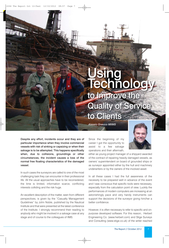### Using<br>Technolog to Improve the **Quality of Service** to Clients

MOKING

to Clients Alessio Gnecco MIIMS



Despite any effort, incidents occur and they are of particular importance when they involve commercial vessels with risk of sinking or capsizing or when their salvage is to be attempted. This happens specifically when, due to collisions, groundings or other circumstances, the incident causes a loss of the normal free floating characteristics of the damaged vessel.

In such cases the surveyors are called to one of the most challenging task they can encounter in their professional life. All the usual approaches have to be reconsidered, the time is limited, information scarce, conflicting interests colliding and the risk huge.

An excellent description of the matter, seen from different perspectives, is given by the "Casualty Management Guidelines" by John Noble, published by the Nautical Institute and that were presented at the latest conference of the Institute. I strongly recommend their reading to anybody who might be involved in a salvage case at any stage and of course to the colleagues of IIMS.

Since the beginning of my career I got the opportunity to assist to a few salvage operations and their aftermath,

either as young project manager of a shipyard awarded of the contract of repairing heavily damaged vessels, as owners' superintendent on board of grounded ships or as surveyor appointed either by the hull and machinery underwriters or by the owners of the involved asset.

In all these cases I had the full awareness of the necessity to be prepared well in advance of the event and I was conscious that specific tools were necessary, especially from the calculation point of view. Luckily the performances of modern computers are increasing at an astonishingly pace and very handy instruments can support the decisions of the surveyor giving him/her a better confidence.

However, it is often necessary to refer to specific and onpurpose developed software. For this reason, Herbert Engineering Co. (www.herbert.com) and Stige Surveys and Consulting (www.stige.co.uk) of the writer reached